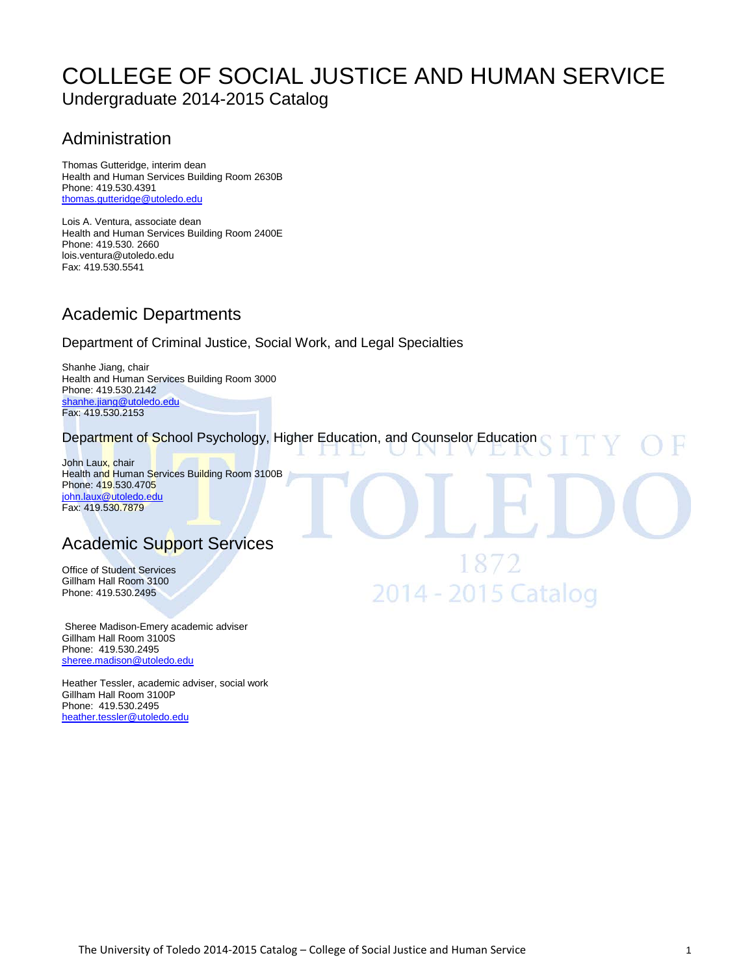# [COLLEGE OF SOCIAL JUSTICE AND H](http://utoledo.edu/education/)UMAN SERVICE Undergraduate 2014-2015 Catalog

# Administration

Thomas Gutteridge, interim dean Health and Human Services Building Room 2630B Phone: 419.530.4391 [thomas.gutteridge@utoledo.edu](mailto:thomas.gutteridge@utoledo.edu)

Lois A. Ventura, associate dean Health and Human Services Building Room 2400E Phone: 419.530. 2660 lois.ventura@utoledo.edu Fax: 419.530.5541

# Academic Departments

### Department of Criminal Justice, Social Work, and Legal Specialties

Shanhe Jiang, chair Health and Human Services Building Room 3000 Phone: 419.530.2142 [shanhe.jiang@utoledo.edu](mailto:shanhe.jiang@utoledo.edu) Fax: 419.530.2153

### Department of School Psychology, Higher Education, and Counselor Education

2014 - 2015 Catalog

John Laux, chair Health and Human Services Building Room 3100B Phone: 419.530.4705 [john.laux@utoledo.edu](mailto:john.laux@utoledo.edu) Fax: 419.530.7879

# Academic Support Services

Office of Student Services Gillham Hall Room 3100 Phone: 419.530.2495

Sheree Madison-Emery academic adviser Gillham Hall Room 3100S Phone: 419.530.2495 [sheree.madison@utoledo.edu](mailto:staci.sturdivant@utoledo.edu)

Heather Tessler, academic adviser, social work Gillham Hall Room 3100P Phone: 419.530.2495 [heather.tessler@utoledo.edu](mailto:heather.tessler@utoledo.edu)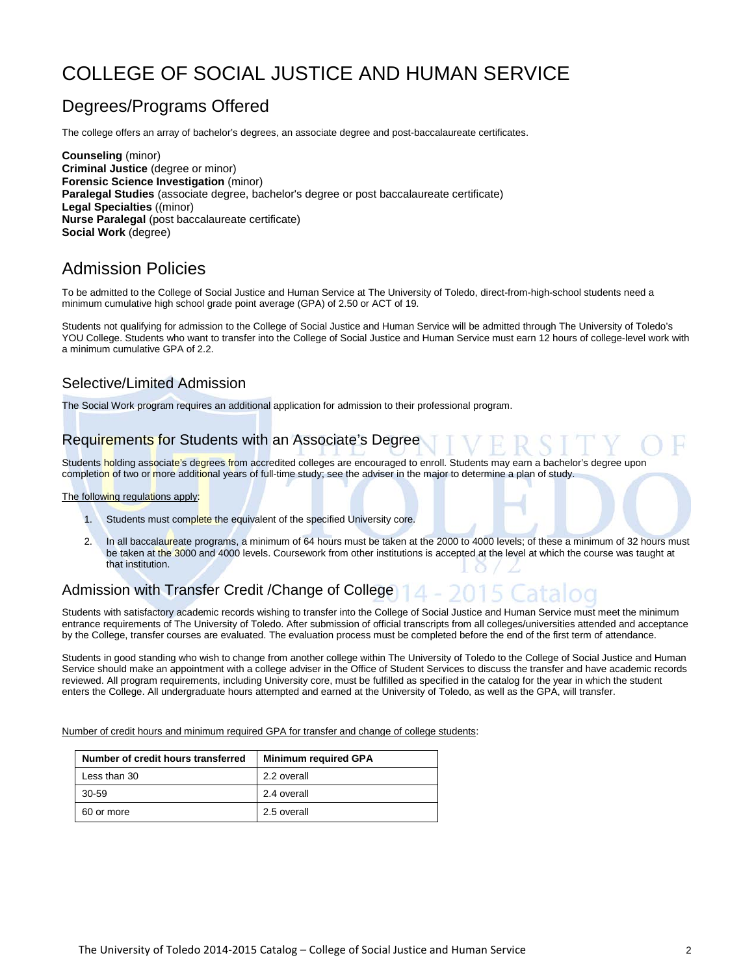# [COLLEGE OF SOCIAL JUSTICE A](http://utoledo.edu/education/)ND HUMAN SERVICE

# Degrees/Programs Offered

The college offers an array of bachelor's degrees, an associate degree and post-baccalaureate certificates.

**Counseling** (minor) **Criminal Justice** (degree or minor) **Forensic Science Investigation** (minor) **Paralegal Studies** (associate degree, bachelor's degree or post baccalaureate certificate) **Legal Specialties** ((minor) **Nurse Paralegal** (post baccalaureate certificate) **Social Work** (degree)

# Admission Policies

To be admitted to the College of Social Justice and Human Service at The University of Toledo, direct-from-high-school students need a minimum cumulative high school grade point average (GPA) of 2.50 or ACT of 19.

Students not qualifying for admission to the College of Social Justice and Human Service will be admitted through The University of Toledo's YOU College. Students who want to transfer into the College of Social Justice and Human Service must earn 12 hours of college-level work with a minimum cumulative GPA of 2.2.

### Selective/Limited Admission

The Social Work program requires an additional application for admission to their professional program.

### Requirements for Students with an Associate's Degree

Students holding associate's degrees from accredited colleges are encouraged to enroll. Students may earn a bachelor's degree upon completion of two or more additional years of full-time study; see the adviser in the major to determine a plan of study.

#### The following regulations apply:

- 1. Students must complete the equivalent of the specified University core.
- 2. In all baccalaureate programs, a minimum of 64 hours must be taken at the 2000 to 4000 levels; of these a minimum of 32 hours must be taken at the 3000 and 4000 levels. Coursework from other institutions is accepted at the level at which the course was taught at that institution.

### Admission with Transfer Credit /Change of College

Students with satisfactory academic records wishing to transfer into the College of Social Justice and Human Service must meet the minimum entrance requirements of The University of Toledo. After submission of official transcripts from all colleges/universities attended and acceptance by the College, transfer courses are evaluated. The evaluation process must be completed before the end of the first term of attendance.

Students in good standing who wish to change from another college within The University of Toledo to the College of Social Justice and Human Service should make an appointment with a college adviser in the Office of Student Services to discuss the transfer and have academic records reviewed. All program requirements, including University core, must be fulfilled as specified in the catalog for the year in which the student enters the College. All undergraduate hours attempted and earned at the University of Toledo, as well as the GPA, will transfer.

Number of credit hours and minimum required GPA for transfer and change of college students:

| Number of credit hours transferred | <b>Minimum required GPA</b> |
|------------------------------------|-----------------------------|
| Less than 30                       | 2.2 overall                 |
| 30-59                              | 2.4 overall                 |
| 60 or more                         | 2.5 overall                 |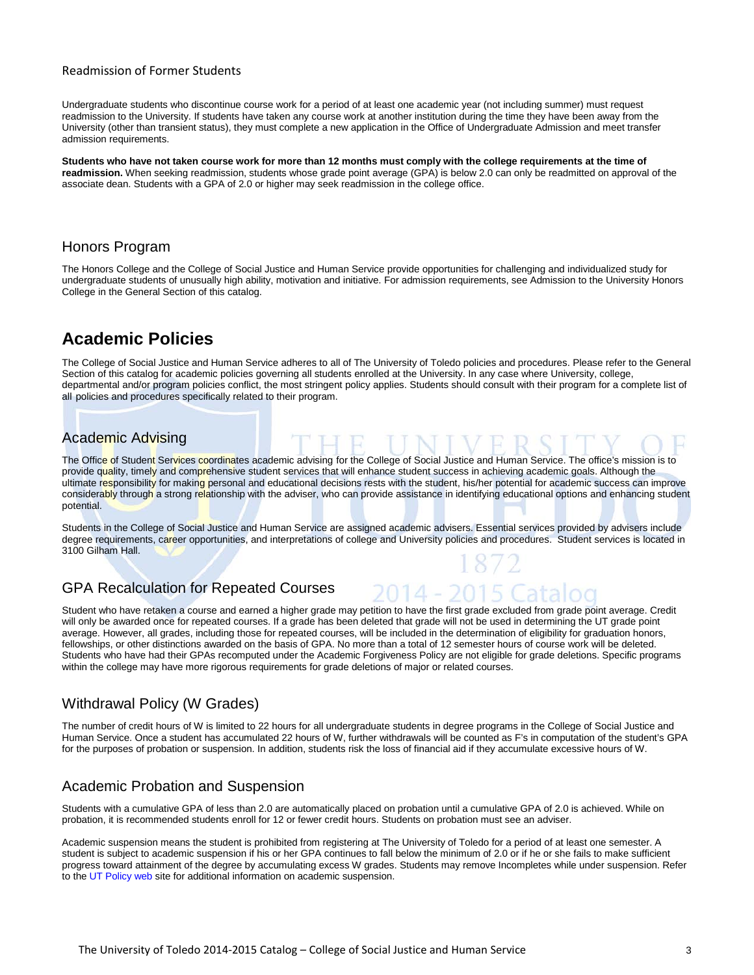#### Readmission of Former Students

Undergraduate students who discontinue course work for a period of at least one academic year (not including summer) must request readmission to the University. If students have taken any course work at another institution during the time they have been away from the University (other than transient status), they must complete a new application in the Office of Undergraduate Admission and meet transfer admission requirements.

**Students who have not taken course work for more than 12 months must comply with the college requirements at the time of readmission.** When seeking readmission, students whose grade point average (GPA) is below 2.0 can only be readmitted on approval of the associate dean. Students with a GPA of 2.0 or higher may seek readmission in the college office.

### Honors Program

The Honors College and the College of Social Justice and Human Service provide opportunities for challenging and individualized study for undergraduate students of unusually high ability, motivation and initiative. For admission requirements, see Admission to the University Honors College in the General Section of this catalog.

# **Academic Policies**

The College of Social Justice and Human Service adheres to all of The University of Toledo policies and procedures. Please refer to the General Section of this catalog for academic policies governing all students enrolled at the University. In any case where University, college, departmental and/or program policies conflict, the most stringent policy applies. Students should consult with their program for a complete list of all policies and procedures specifically related to their program.

### Academic Advising

The Office of Student Services coordinates academic advising for the College of Social Justice and Human Service. The office's mission is to provide quality, timely and comprehensive student services that will enhance student success in achieving academic goals. Although the ultimate responsibility for making personal and educational decisions rests with the student, his/her potential for academic success can improve considerably through a strong relationship with the adviser, who can provide assistance in identifying educational options and enhancing student potential.

Students in the College of Social Justice and Human Service are assigned academic advisers. Essential services provided by advisers include degree requirements, career opportunities, and interpretations of college and University policies and procedures. Student services is located in 3100 Gilham Hall.

### GPA Recalculation for Repeated Courses

Student who have retaken a course and earned a higher grade may petition to have the first grade excluded from grade point average. Credit will only be awarded once for repeated courses. If a grade has been deleted that grade will not be used in determining the UT grade point average. However, all grades, including those for repeated courses, will be included in the determination of eligibility for graduation honors, fellowships, or other distinctions awarded on the basis of GPA. No more than a total of 12 semester hours of course work will be deleted. Students who have had their GPAs recomputed under the Academic Forgiveness Policy are not eligible for grade deletions. Specific programs within the college may have more rigorous requirements for grade deletions of major or related courses.

# Withdrawal Policy (W Grades)

The number of credit hours of W is limited to 22 hours for all undergraduate students in degree programs in the College of Social Justice and Human Service. Once a student has accumulated 22 hours of W, further withdrawals will be counted as F's in computation of the student's GPA for the purposes of probation or suspension. In addition, students risk the loss of financial aid if they accumulate excessive hours of W.

# Academic Probation and Suspension

Students with a cumulative GPA of less than 2.0 are automatically placed on probation until a cumulative GPA of 2.0 is achieved. While on probation, it is recommended students enroll for 12 or fewer credit hours. Students on probation must see an adviser.

Academic suspension means the student is prohibited from registering at The University of Toledo for a period of at least one semester. A student is subject to academic suspension if his or her GPA continues to fall below the minimum of 2.0 or if he or she fails to make sufficient progress toward attainment of the degree by accumulating excess W grades. Students may remove Incompletes while under suspension. Refer to th[e UT Policy web](http://utoledo.edu/policies/) site for additional information on academic suspension.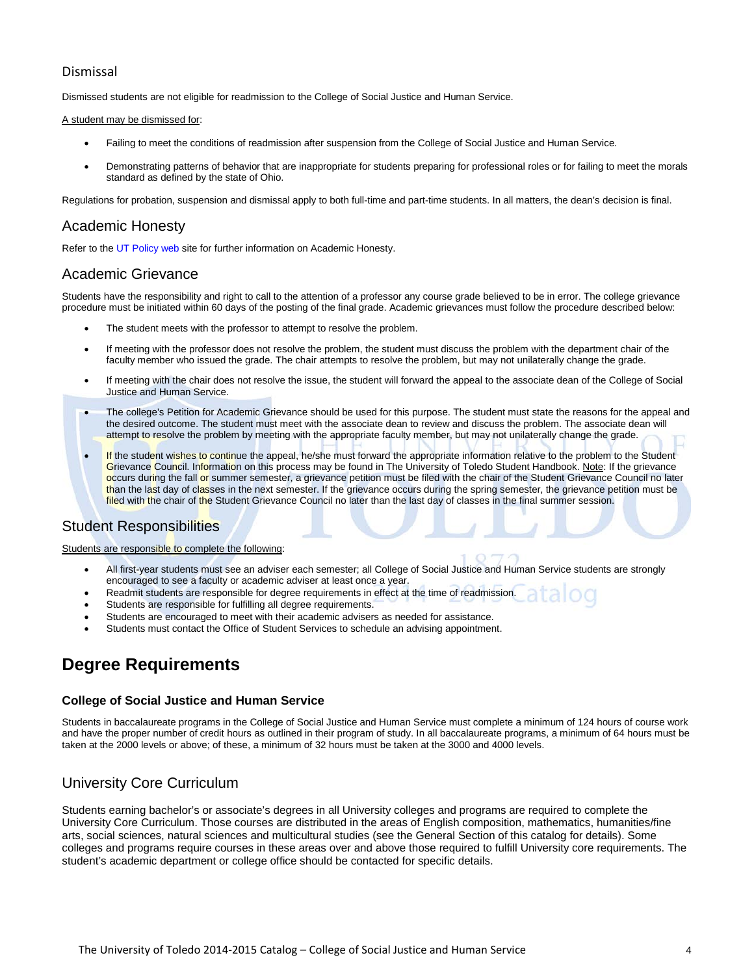### Dismissal

Dismissed students are not eligible for readmission to the College of Social Justice and Human Service.

#### A student may be dismissed for:

- Failing to meet the conditions of readmission after suspension from the College of Social Justice and Human Service.
- Demonstrating patterns of behavior that are inappropriate for students preparing for professional roles or for failing to meet the morals standard as defined by the state of Ohio.

Regulations for probation, suspension and dismissal apply to both full-time and part-time students. In all matters, the dean's decision is final.

### Academic Honesty

Refer to th[e UT Policy web](http://utoledo.edu/policies/) site for further information on Academic Honesty.

### Academic Grievance

Students have the responsibility and right to call to the attention of a professor any course grade believed to be in error. The college grievance procedure must be initiated within 60 days of the posting of the final grade. Academic grievances must follow the procedure described below:

- The student meets with the professor to attempt to resolve the problem.
- If meeting with the professor does not resolve the problem, the student must discuss the problem with the department chair of the faculty member who issued the grade. The chair attempts to resolve the problem, but may not unilaterally change the grade.
- If meeting with the chair does not resolve the issue, the student will forward the appeal to the associate dean of the College of Social Justice and Human Service.
- The college's Petition for Academic Grievance should be used for this purpose. The student must state the reasons for the appeal and the desired outcome. The student must meet with the associate dean to review and discuss the problem. The associate dean will attempt to resolve the problem by meeting with the appropriate faculty member, but may not unilaterally change the grade.
- If the student wishes to continue the appeal, he/she must forward the appropriate information relative to the problem to the Student Grievance Council. Information on this process may be found in The University of Toledo Student Handbook. Note: If the grievance occurs during the fall or summer semester, a grievance petition must be filed with the chair of the Student Grievance Council no later than the last day of classes in the next semester. If the grievance occurs during the spring semester, the grievance petition must be filed with the chair of the Student Grievance Council no later than the last day of classes in the final summer session.

### Student Responsibilities

#### Students are responsible to complete the following:

- All first-year students must see an adviser each semester; all College of Social Justice and Human Service students are strongly encouraged to see a faculty or academic adviser at least once a year.
- Readmit students are responsible for degree requirements in effect at the time of readmission.
- Students are responsible for fulfilling all degree requirements.
- Students are encouraged to meet with their academic advisers as needed for assistance.
- Students must contact the Office of Student Services to schedule an advising appointment.

# **Degree Requirements**

#### **College of Social Justice and Human Service**

Students in baccalaureate programs in the College of Social Justice and Human Service must complete a minimum of 124 hours of course work and have the proper number of credit hours as outlined in their program of study. In all baccalaureate programs, a minimum of 64 hours must be taken at the 2000 levels or above; of these, a minimum of 32 hours must be taken at the 3000 and 4000 levels.

### University Core Curriculum

Students earning bachelor's or associate's degrees in all University colleges and programs are required to complete the University Core Curriculum. Those courses are distributed in the areas of English composition, mathematics, humanities/fine arts, social sciences, natural sciences and multicultural studies (see the General Section of this catalog for details). Some colleges and programs require courses in these areas over and above those required to fulfill University core requirements. The student's academic department or college office should be contacted for specific details.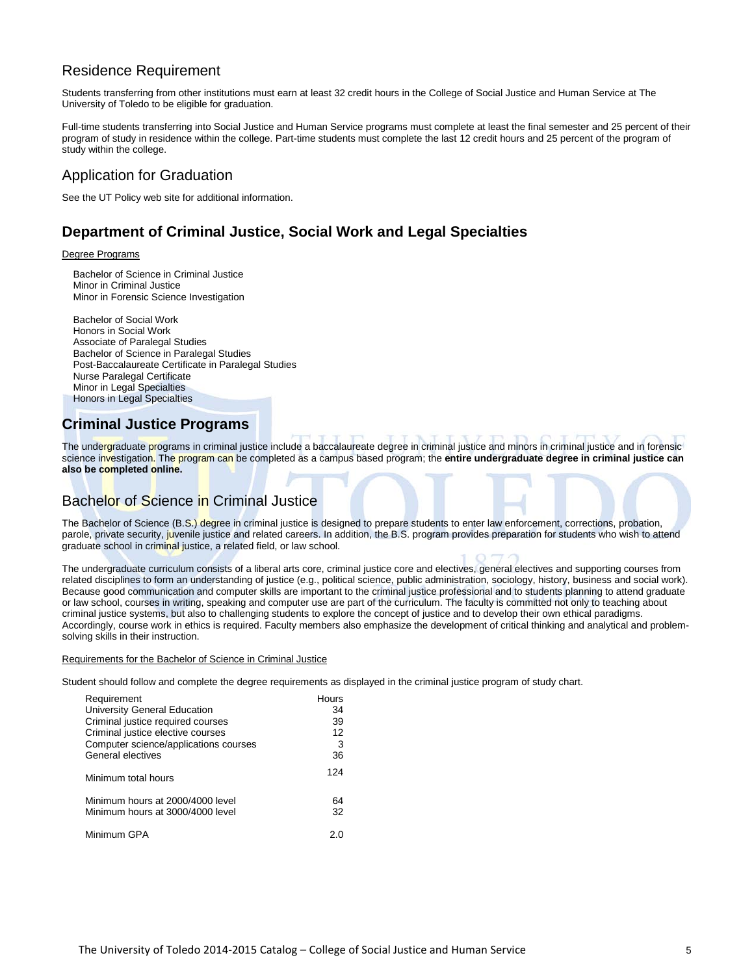# Residence Requirement

Students transferring from other institutions must earn at least 32 credit hours in the College of Social Justice and Human Service at The University of Toledo to be eligible for graduation.

Full-time students transferring into Social Justice and Human Service programs must complete at least the final semester and 25 percent of their program of study in residence within the college. Part-time students must complete the last 12 credit hours and 25 percent of the program of study within the college.

# Application for Graduation

See the UT Policy web site for additional information.

# **Department of Criminal Justice, Social Work and Legal Specialties**

#### Degree Programs

Bachelor of Science in Criminal Justice Minor in Criminal Justice Minor in Forensic Science Investigation

Bachelor of Social Work Honors in Social Work Associate of Paralegal Studies Bachelor of Science in Paralegal Studies Post-Baccalaureate Certificate in Paralegal Studies Nurse Paralegal Certificate Minor in Legal Specialties Honors in Legal Specialties

# **Criminal Justice Programs**

The undergraduate programs in criminal justice include a baccalaureate degree in criminal justice and minors in criminal justice and in forensic science investigation. The program can be completed as a campus based program; the **entire undergraduate degree in criminal justice can also be completed online.**

# Bachelor of Science in Criminal Justice

The Bachelor of Science (B.S.) degree in criminal justice is designed to prepare students to enter law enforcement, corrections, probation, parole, private security, juvenile justice and related careers. In addition, the B.S. program provides preparation for students who wish to attend graduate school in criminal justice, a related field, or law school.

The undergraduate curriculum consists of a liberal arts core, criminal justice core and electives, general electives and supporting courses from related disciplines to form an understanding of justice (e.g., political science, public administration, sociology, history, business and social work). Because good communication and computer skills are important to the criminal justice professional and to students planning to attend graduate or law school, courses in writing, speaking and computer use are part of the curriculum. The faculty is committed not only to teaching about criminal justice systems, but also to challenging students to explore the concept of justice and to develop their own ethical paradigms. Accordingly, course work in ethics is required. Faculty members also emphasize the development of critical thinking and analytical and problemsolving skills in their instruction.

#### Requirements for the Bachelor of Science in Criminal Justice

Student should follow and complete the degree requirements as displayed in the criminal justice program of study chart.

| Requirement                           | <b>Hours</b> |
|---------------------------------------|--------------|
| University General Education          | 34           |
| Criminal justice required courses     | 39           |
| Criminal justice elective courses     | 12           |
| Computer science/applications courses | 3            |
| General electives                     | 36           |
| Minimum total hours                   | 124          |
| Minimum hours at 2000/4000 level      | 64           |
| Minimum hours at 3000/4000 level      | 32           |
| Minimum GPA                           | 2 በ          |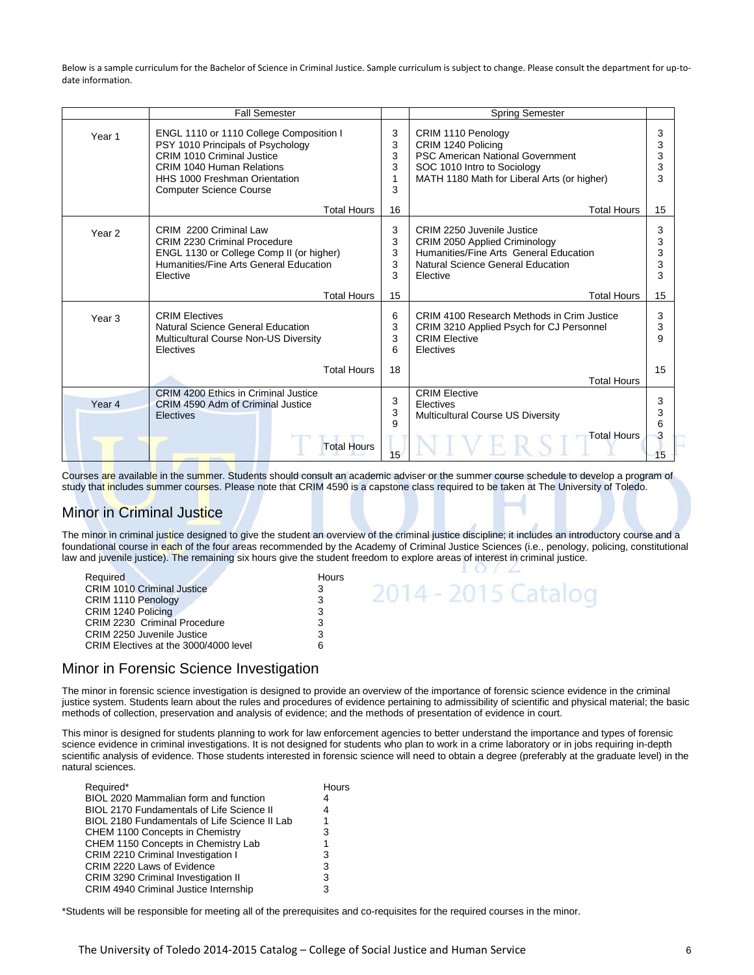Below is a sample curriculum for the Bachelor of Science in Criminal Justice. Sample curriculum is subject to change. Please consult the department for up-todate information.

|                   | <b>Fall Semester</b>                                                                                                                                                                                       |                            | <b>Spring Semester</b>                                                                                                                                            |                        |
|-------------------|------------------------------------------------------------------------------------------------------------------------------------------------------------------------------------------------------------|----------------------------|-------------------------------------------------------------------------------------------------------------------------------------------------------------------|------------------------|
| Year <sub>1</sub> | ENGL 1110 or 1110 College Composition I<br>PSY 1010 Principals of Psychology<br>CRIM 1010 Criminal Justice<br>CRIM 1040 Human Relations<br>HHS 1000 Freshman Orientation<br><b>Computer Science Course</b> | 3<br>3<br>3<br>3<br>1<br>3 | CRIM 1110 Penology<br>CRIM 1240 Policing<br><b>PSC American National Government</b><br>SOC 1010 Intro to Sociology<br>MATH 1180 Math for Liberal Arts (or higher) | 3<br>3<br>3<br>3<br>3  |
|                   | <b>Total Hours</b>                                                                                                                                                                                         | 16                         | <b>Total Hours</b>                                                                                                                                                | 15                     |
| Year <sub>2</sub> | CRIM 2200 Criminal Law<br><b>CRIM 2230 Criminal Procedure</b><br>ENGL 1130 or College Comp II (or higher)<br>Humanities/Fine Arts General Education<br>Elective                                            | 3<br>3<br>3<br>3<br>3      | CRIM 2250 Juvenile Justice<br>CRIM 2050 Applied Criminology<br>Humanities/Fine Arts General Education<br>Natural Science General Education<br>Elective            | 3<br>3<br>3<br>3<br>3  |
|                   | <b>Total Hours</b>                                                                                                                                                                                         | 15                         | <b>Total Hours</b>                                                                                                                                                | 15                     |
| Year <sub>3</sub> | <b>CRIM Electives</b><br>Natural Science General Education<br>Multicultural Course Non-US Diversity<br>Electives                                                                                           | 6<br>3<br>3<br>6           | CRIM 4100 Research Methods in Crim Justice<br>CRIM 3210 Applied Psych for CJ Personnel<br><b>CRIM Elective</b><br>Electives                                       | 3<br>3<br>9            |
|                   | <b>Total Hours</b>                                                                                                                                                                                         | 18                         | <b>Total Hours</b>                                                                                                                                                | 15                     |
| Year 4            | CRIM 4200 Ethics in Criminal Justice<br>CRIM 4590 Adm of Criminal Justice<br><b>Electives</b><br><b>Total Hours</b>                                                                                        | 3<br>3<br>9<br>15          | <b>CRIM Elective</b><br>Electives<br><b>Multicultural Course US Diversity</b><br><b>Total Hours</b>                                                               | 3<br>3<br>6<br>3<br>15 |

Courses are available in the summer. Students should consult an academic adviser or the summer course schedule to develop a program of study that includes summer courses. Please note that CRIM 4590 is a capstone class required to be taken at The University of Toledo.

# Minor in Criminal Justice

The minor in criminal justice designed to give the student an overview of the criminal justice discipline; it includes an introductory course and a foundational course in each of the four areas recommended by the Academy of Criminal Justice Sciences (i.e., penology, policing, constitutional law and juvenile justice). The remaining six hours give the student freedom to explore areas of interest in criminal justice.

| <b>Reauired</b>                       | Hours |                     |
|---------------------------------------|-------|---------------------|
| <b>CRIM 1010 Criminal Justice</b>     |       | 2014 - 2015 Catalog |
| CRIM 1110 Penology                    |       |                     |
| CRIM 1240 Policing                    |       |                     |
| CRIM 2230 Criminal Procedure          |       |                     |
| CRIM 2250 Juvenile Justice            |       |                     |
| CRIM Electives at the 3000/4000 level |       |                     |
|                                       |       |                     |

### Minor in Forensic Science Investigation

The minor in forensic science investigation is designed to provide an overview of the importance of forensic science evidence in the criminal justice system. Students learn about the rules and procedures of evidence pertaining to admissibility of scientific and physical material; the basic methods of collection, preservation and analysis of evidence; and the methods of presentation of evidence in court.

This minor is designed for students planning to work for law enforcement agencies to better understand the importance and types of forensic science evidence in criminal investigations. It is not designed for students who plan to work in a crime laboratory or in jobs requiring in-depth scientific analysis of evidence. Those students interested in forensic science will need to obtain a degree (preferably at the graduate level) in the natural sciences.

| Required*                                     | Hours |
|-----------------------------------------------|-------|
| BIOL 2020 Mammalian form and function         |       |
| BIOL 2170 Fundamentals of Life Science II     | 4     |
| BIOL 2180 Fundamentals of Life Science II Lab | 1     |
| CHEM 1100 Concepts in Chemistry               | 3     |
| CHEM 1150 Concepts in Chemistry Lab           | 1     |
| CRIM 2210 Criminal Investigation I            | 3     |
| CRIM 2220 Laws of Evidence                    | 3     |
| CRIM 3290 Criminal Investigation II           | 3     |
| CRIM 4940 Criminal Justice Internship         | 3     |
|                                               |       |

\*Students will be responsible for meeting all of the prerequisites and co-requisites for the required courses in the minor.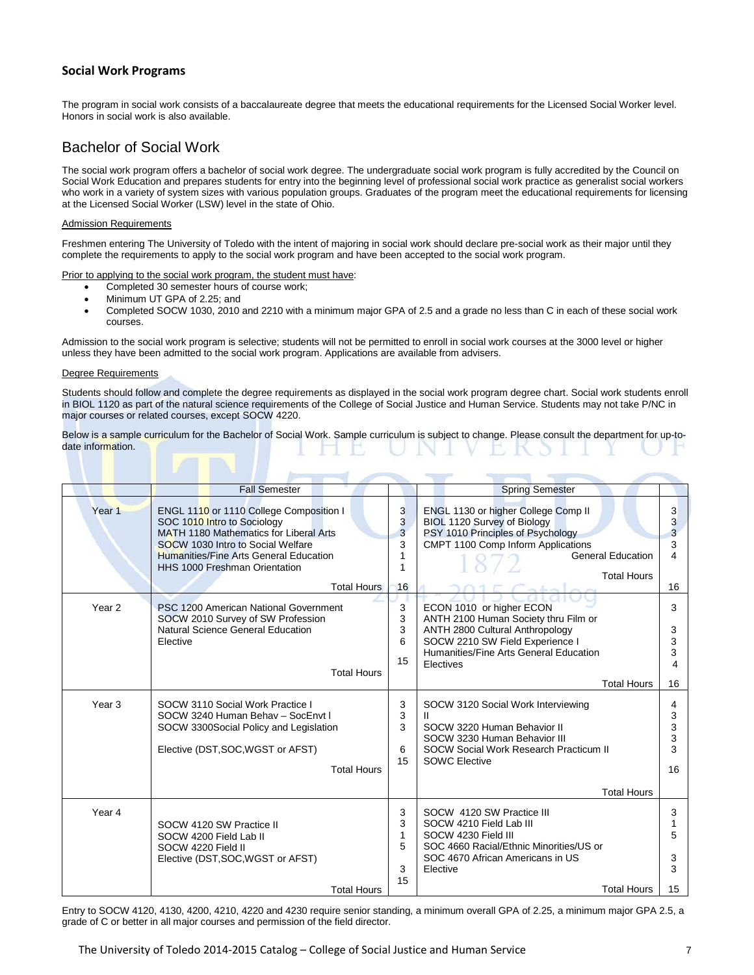#### **Social Work Programs**

The program in social work consists of a baccalaureate degree that meets the educational requirements for the Licensed Social Worker level. Honors in social work is also available.

## Bachelor of Social Work

The social work program offers a bachelor of social work degree. The undergraduate social work program is fully accredited by the Council on Social Work Education and prepares students for entry into the beginning level of professional social work practice as generalist social workers who work in a variety of system sizes with various population groups. Graduates of the program meet the educational requirements for licensing at the Licensed Social Worker (LSW) level in the state of Ohio.

#### Admission Requirements

Freshmen entering The University of Toledo with the intent of majoring in social work should declare pre-social work as their major until they complete the requirements to apply to the social work program and have been accepted to the social work program.

Prior to applying to the social work program, the student must have:

- Completed 30 semester hours of course work;
- Minimum UT GPA of 2.25; and
- Completed SOCW 1030, 2010 and 2210 with a minimum major GPA of 2.5 and a grade no less than C in each of these social work courses.

Admission to the social work program is selective; students will not be permitted to enroll in social work courses at the 3000 level or higher unless they have been admitted to the social work program. Applications are available from advisers.

#### Degree Requirements

Students should follow and complete the degree requirements as displayed in the social work program degree chart. Social work students enroll in BIOL 1120 as part of the natural science requirements of the College of Social Justice and Human Service. Students may not take P/NC in major courses or related courses, except SOCW 4220.

Below is a sample curriculum for the Bachelor of Social Work. Sample curriculum is subject to change. Please consult the department for up-todate information.

|                   | <b>Fall Semester</b>                                                                                                                                                                                                                                  |                             | <b>Spring Semester</b>                                                                                                                                                                                              |                                    |
|-------------------|-------------------------------------------------------------------------------------------------------------------------------------------------------------------------------------------------------------------------------------------------------|-----------------------------|---------------------------------------------------------------------------------------------------------------------------------------------------------------------------------------------------------------------|------------------------------------|
| Year <sub>1</sub> | ENGL 1110 or 1110 College Composition I<br>SOC 1010 Intro to Sociology<br><b>MATH 1180 Mathematics for Liberal Arts</b><br>SOCW 1030 Intro to Social Welfare<br><b>Humanities/Fine Arts General Education</b><br><b>HHS 1000 Freshman Orientation</b> | 3<br>3<br>3<br>3<br>1       | ENGL 1130 or higher College Comp II<br>BIOL 1120 Survey of Biology<br>PSY 1010 Principles of Psychology<br>CMPT 1100 Comp Inform Applications<br><b>General Education</b><br><b>Total Hours</b>                     | 3<br>3<br>$\overline{3}$<br>3<br>4 |
|                   | <b>Total Hours</b>                                                                                                                                                                                                                                    | 16                          |                                                                                                                                                                                                                     | 16                                 |
| Year <sub>2</sub> | PSC 1200 American National Government<br>SOCW 2010 Survey of SW Profession<br>Natural Science General Education<br>Elective<br><b>Total Hours</b>                                                                                                     | 3<br>3<br>3<br>6<br>15      | ECON 1010 or higher ECON<br>ANTH 2100 Human Society thru Film or<br>ANTH 2800 Cultural Anthropology<br>SOCW 2210 SW Field Experience I<br>Humanities/Fine Arts General Education<br>Electives<br><b>Total Hours</b> | 3<br>3<br>3<br>3<br>4<br>16        |
| Year <sub>3</sub> | SOCW 3110 Social Work Practice I<br>SOCW 3240 Human Behav - SocEnvt I<br>SOCW 3300Social Policy and Legislation<br>Elective (DST, SOC, WGST or AFST)<br><b>Total Hours</b>                                                                            | 3<br>3<br>3<br>6<br>15      | SOCW 3120 Social Work Interviewing<br>$\mathbf{H}$<br>SOCW 3220 Human Behavior II<br>SOCW 3230 Human Behavior III<br>SOCW Social Work Research Practicum II<br><b>SOWC Elective</b>                                 | 4<br>3<br>3<br>3<br>3<br>16        |
|                   |                                                                                                                                                                                                                                                       |                             | <b>Total Hours</b>                                                                                                                                                                                                  |                                    |
| Year 4            | SOCW 4120 SW Practice II<br>SOCW 4200 Field Lab II<br>SOCW 4220 Field II<br>Elective (DST, SOC, WGST or AFST)                                                                                                                                         | 3<br>3<br>1<br>5<br>3<br>15 | SOCW 4120 SW Practice III<br>SOCW 4210 Field Lab III<br>SOCW 4230 Field III<br>SOC 4660 Racial/Ethnic Minorities/US or<br>SOC 4670 African Americans in US<br>Elective<br><b>Total Hours</b>                        | 3<br>1<br>5<br>3<br>3<br>15        |
|                   | Total Hours                                                                                                                                                                                                                                           |                             |                                                                                                                                                                                                                     |                                    |

Entry to SOCW 4120, 4130, 4200, 4210, 4220 and 4230 require senior standing, a minimum overall GPA of 2.25, a minimum major GPA 2.5, a grade of C or better in all major courses and permission of the field director.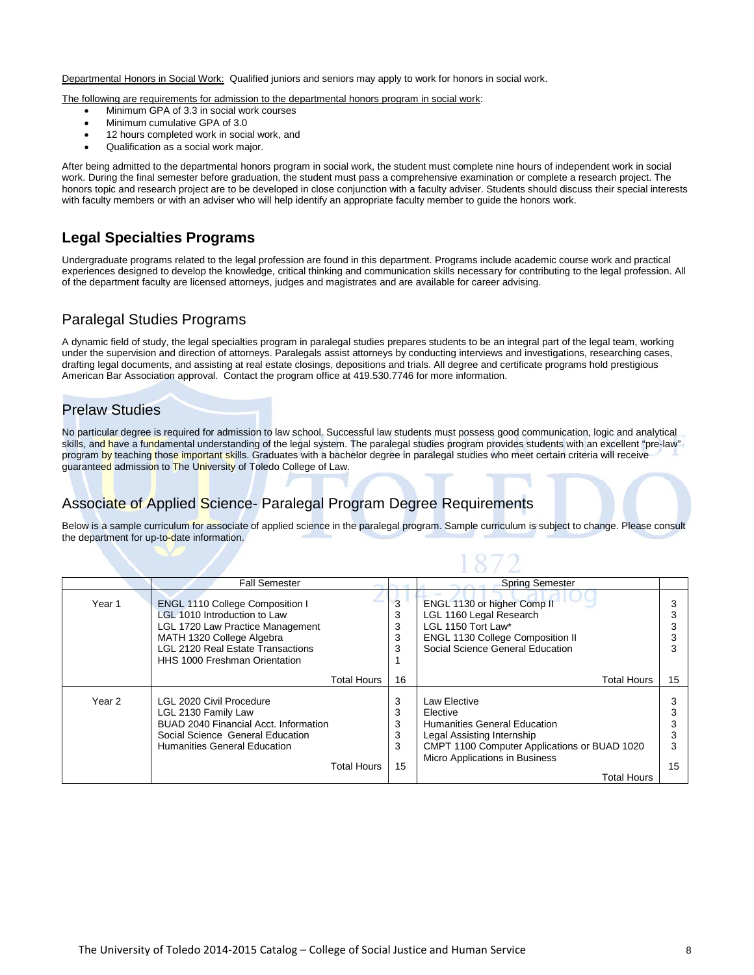Departmental Honors in Social Work: Qualified juniors and seniors may apply to work for honors in social work.

The following are requirements for admission to the departmental honors program in social work:

- Minimum GPA of 3.3 in social work courses
- Minimum cumulative GPA of 3.0
- 12 hours completed work in social work, and
- Qualification as a social work major.

After being admitted to the departmental honors program in social work, the student must complete nine hours of independent work in social work. During the final semester before graduation, the student must pass a comprehensive examination or complete a research project. The honors topic and research project are to be developed in close conjunction with a faculty adviser. Students should discuss their special interests with faculty members or with an adviser who will help identify an appropriate faculty member to guide the honors work.

## **Legal Specialties Programs**

Undergraduate programs related to the legal profession are found in this department. Programs include academic course work and practical experiences designed to develop the knowledge, critical thinking and communication skills necessary for contributing to the legal profession. All of the department faculty are licensed attorneys, judges and magistrates and are available for career advising.

# Paralegal Studies Programs

A dynamic field of study, the legal specialties program in paralegal studies prepares students to be an integral part of the legal team, working under the supervision and direction of attorneys. Paralegals assist attorneys by conducting interviews and investigations, researching cases, drafting legal documents, and assisting at real estate closings, depositions and trials. All degree and certificate programs hold prestigious American Bar Association approval. Contact the program office at 419.530.7746 for more information.

### Prelaw Studies

No particular degree is required for admission to law school. Successful law students must possess good communication, logic and analytical skills, and have a fundamental understanding of the legal system. The paralegal studies program provides students with an excellent "pre-law" program by teaching those important skills. Graduates with a bachelor degree in paralegal studies who meet certain criteria will receive guaranteed admission to The University of Toledo College of Law.

# Associate of Applied Science- Paralegal Program Degree Requirements

Below is a sample curriculum for associate of applied science in the paralegal program. Sample curriculum is subject to change. Please consult the department for up-to-date information.

 $1872$ 

|        | <b>Fall Semester</b>                                                                                                                                                                                                 |                             | <b>Spring Semester</b>                                                                                                                                                                  |         |
|--------|----------------------------------------------------------------------------------------------------------------------------------------------------------------------------------------------------------------------|-----------------------------|-----------------------------------------------------------------------------------------------------------------------------------------------------------------------------------------|---------|
| Year 1 | <b>ENGL 1110 College Composition I</b><br>LGL 1010 Introduction to Law<br>LGL 1720 Law Practice Management<br>MATH 1320 College Algebra<br><b>LGL 2120 Real Estate Transactions</b><br>HHS 1000 Freshman Orientation | 3<br>3<br>3<br>3<br>3       | ENGL 1130 or higher Comp II<br>LGL 1160 Legal Research<br>LGL 1150 Tort Law*<br><b>ENGL 1130 College Composition II</b><br>Social Science General Education                             |         |
|        | Total Hours                                                                                                                                                                                                          | 16                          | <b>Total Hours</b>                                                                                                                                                                      | 15      |
| Year 2 | LGL 2020 Civil Procedure<br>LGL 2130 Family Law<br>BUAD 2040 Financial Acct. Information<br>Social Science General Education<br>Humanities General Education<br>Total Hours                                          | 3<br>3<br>3<br>3<br>3<br>15 | Law Elective<br>Elective<br>Humanities General Education<br>Legal Assisting Internship<br>CMPT 1100 Computer Applications or BUAD 1020<br>Micro Applications in Business<br>Total Hours | 3<br>15 |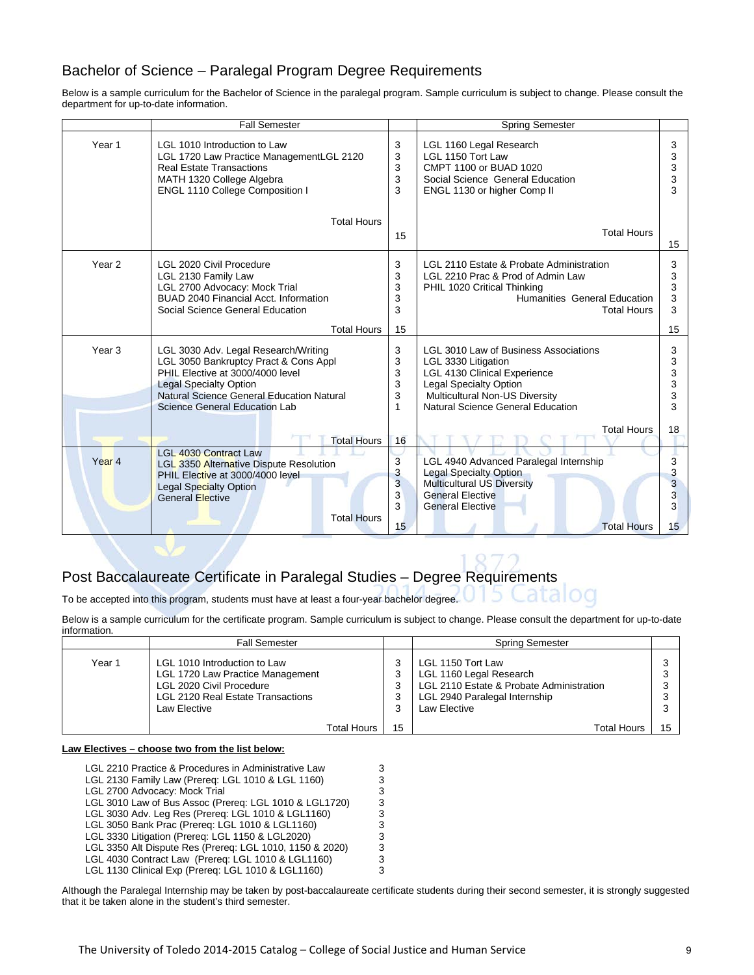# Bachelor of Science – Paralegal Program Degree Requirements

Below is a sample curriculum for the Bachelor of Science in the paralegal program. Sample curriculum is subject to change. Please consult the department for up-to-date information.

|                   | <b>Fall Semester</b>                                                                                                                                                                                                             |                                          | Spring Semester                                                                                                                                                                                             |                             |
|-------------------|----------------------------------------------------------------------------------------------------------------------------------------------------------------------------------------------------------------------------------|------------------------------------------|-------------------------------------------------------------------------------------------------------------------------------------------------------------------------------------------------------------|-----------------------------|
| Year 1            | LGL 1010 Introduction to Law<br>LGL 1720 Law Practice ManagementLGL 2120<br><b>Real Estate Transactions</b><br>MATH 1320 College Algebra<br>ENGL 1110 College Composition I                                                      | 3<br>3<br>3<br>3<br>3                    | LGL 1160 Legal Research<br>LGL 1150 Tort Law<br>CMPT 1100 or BUAD 1020<br>Social Science General Education<br>ENGL 1130 or higher Comp II                                                                   | 3<br>3<br>3<br>3<br>3       |
|                   | <b>Total Hours</b>                                                                                                                                                                                                               | 15                                       | <b>Total Hours</b>                                                                                                                                                                                          | 15                          |
| Year <sub>2</sub> | LGL 2020 Civil Procedure<br>LGL 2130 Family Law<br>LGL 2700 Advocacy: Mock Trial<br>BUAD 2040 Financial Acct. Information<br>Social Science General Education                                                                    | 3<br>3<br>3<br>3<br>3                    | LGL 2110 Estate & Probate Administration<br>LGL 2210 Prac & Prod of Admin Law<br>PHIL 1020 Critical Thinking<br>Humanities General Education<br><b>Total Hours</b>                                          | 3<br>3<br>3<br>3<br>3       |
|                   | <b>Total Hours</b>                                                                                                                                                                                                               | 15                                       |                                                                                                                                                                                                             | 15                          |
| Year <sub>3</sub> | LGL 3030 Adv. Legal Research/Writing<br>LGL 3050 Bankruptcy Pract & Cons Appl<br>PHIL Elective at 3000/4000 level<br><b>Legal Specialty Option</b><br>Natural Science General Education Natural<br>Science General Education Lab | 3<br>3<br>3<br>3<br>3<br>1               | LGL 3010 Law of Business Associations<br>LGL 3330 Litigation<br><b>LGL 4130 Clinical Experience</b><br><b>Legal Specialty Option</b><br>Multicultural Non-US Diversity<br>Natural Science General Education | 3<br>3<br>3<br>3<br>3<br>3  |
|                   | <b>Total Hours</b>                                                                                                                                                                                                               | 16                                       | <b>Total Hours</b>                                                                                                                                                                                          | 18                          |
| Year <sub>4</sub> | <b>LGL 4030 Contract Law</b><br>LGL 3350 Alternative Dispute Resolution<br>PHIL Elective at 3000/4000 level<br>Legal Specialty Option<br><b>General Elective</b><br><b>Total Hours</b>                                           | 3<br>3<br>$\overline{3}$<br>3<br>3<br>15 | LGL 4940 Advanced Paralegal Internship<br><b>Legal Specialty Option</b><br><b>Multicultural US Diversity</b><br><b>General Elective</b><br><b>General Elective</b><br><b>Total Hours</b>                    | 3<br>3<br>3<br>3<br>3<br>15 |

# Post Baccalaureate Certificate in Paralegal Studies – Degree Requirements

To be accepted into this program, students must have at least a four-year bachelor degree.

Below is a sample curriculum for the certificate program. Sample curriculum is subject to change. Please consult the department for up-to-date information.

|        | <b>Fall Semester</b>                                                                                                                                                                                                                                                                                                                                                                                                                                                                                                                                                                         |                                                | <b>Spring Semester</b>                                                                                                                    |                       |
|--------|----------------------------------------------------------------------------------------------------------------------------------------------------------------------------------------------------------------------------------------------------------------------------------------------------------------------------------------------------------------------------------------------------------------------------------------------------------------------------------------------------------------------------------------------------------------------------------------------|------------------------------------------------|-------------------------------------------------------------------------------------------------------------------------------------------|-----------------------|
| Year 1 | LGL 1010 Introduction to Law<br>LGL 1720 Law Practice Management<br><b>LGL 2020 Civil Procedure</b><br><b>LGL 2120 Real Estate Transactions</b><br>Law Elective                                                                                                                                                                                                                                                                                                                                                                                                                              | 3<br>3<br>3<br>3<br>3                          | LGL 1150 Tort Law<br>LGL 1160 Legal Research<br>LGL 2110 Estate & Probate Administration<br>LGL 2940 Paralegal Internship<br>Law Elective | 3<br>3<br>3<br>3<br>3 |
|        | Total Hours                                                                                                                                                                                                                                                                                                                                                                                                                                                                                                                                                                                  | 15                                             | Total Hours                                                                                                                               | 15                    |
|        | Law Electives – choose two from the list below:<br>LGL 2210 Practice & Procedures in Administrative Law<br>LGL 2130 Family Law (Prereg: LGL 1010 & LGL 1160)<br>LGL 2700 Advocacy: Mock Trial<br>LGL 3010 Law of Bus Assoc (Prereg: LGL 1010 & LGL1720)<br>LGL 3030 Adv. Leg Res (Prereq: LGL 1010 & LGL1160)<br>LGL 3050 Bank Prac (Prereq: LGL 1010 & LGL1160)<br>LGL 3330 Litigation (Prereg: LGL 1150 & LGL2020)<br>LGL 3350 Alt Dispute Res (Prereq: LGL 1010, 1150 & 2020)<br>LGL 4030 Contract Law (Prereq: LGL 1010 & LGL1160)<br>LGL 1130 Clinical Exp (Prereq: LGL 1010 & LGL1160) | 3<br>3<br>3<br>3<br>3<br>3<br>3<br>3<br>3<br>3 |                                                                                                                                           |                       |

Although the Paralegal Internship may be taken by post-baccalaureate certificate students during their second semester, it is strongly suggested that it be taken alone in the student's third semester.

oa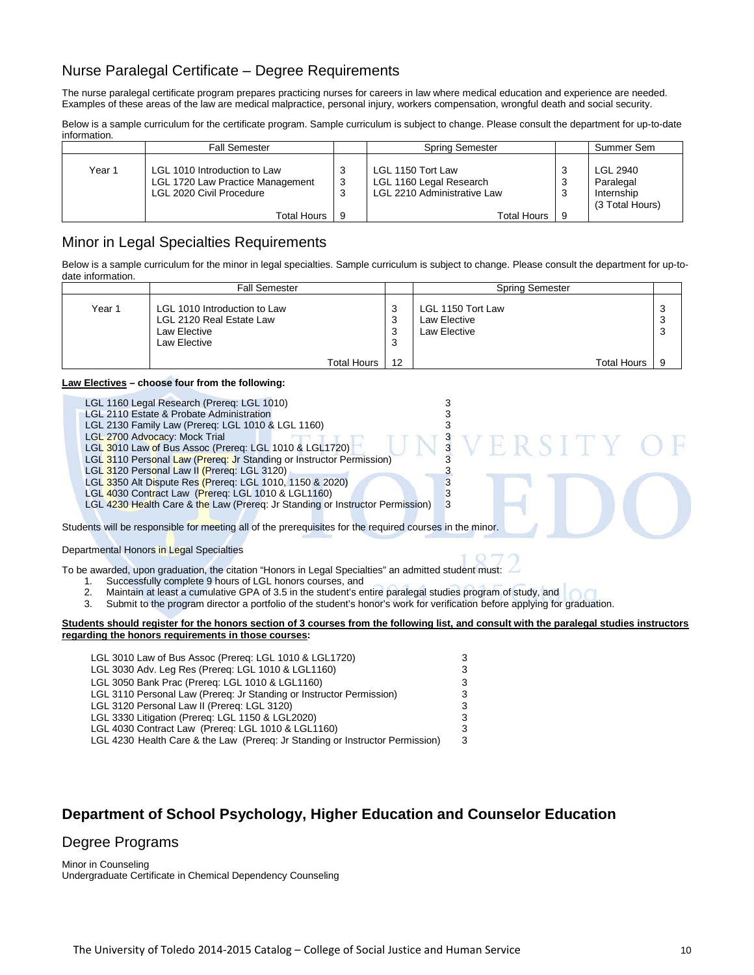# Nurse Paralegal Certificate – Degree Requirements

The nurse paralegal certificate program prepares practicing nurses for careers in law where medical education and experience are needed. Examples of these areas of the law are medical malpractice, personal injury, workers compensation, wrongful death and social security.

Below is a sample curriculum for the certificate program. Sample curriculum is subject to change. Please consult the department for up-to-date information.

|        | <b>Fall Semester</b>                                                                                        |          | Spring Semester                                                                                   |        | Summer Sem                                                    |
|--------|-------------------------------------------------------------------------------------------------------------|----------|---------------------------------------------------------------------------------------------------|--------|---------------------------------------------------------------|
| Year 1 | LGL 1010 Introduction to Law<br>LGL 1720 Law Practice Management<br>LGL 2020 Civil Procedure<br>Total Hours | 3<br>- 9 | LGL 1150 Tort Law<br>LGL 1160 Legal Research<br>LGL 2210 Administrative Law<br><b>Total Hours</b> | 3<br>3 | <b>LGL 2940</b><br>Paralegal<br>Internship<br>(3 Total Hours) |

### Minor in Legal Specialties Requirements

Below is a sample curriculum for the minor in legal specialties. Sample curriculum is subject to change. Please consult the department for up-todate information.

|        | <b>Fall Semester</b>                                                                     |                       | <b>Spring Semester</b>                            |             |
|--------|------------------------------------------------------------------------------------------|-----------------------|---------------------------------------------------|-------------|
| Year 1 | LGL 1010 Introduction to Law<br>LGL 2120 Real Estate Law<br>Law Elective<br>Law Elective | ີ<br>J<br>3<br>3<br>3 | LGL 1150 Tort Law<br>Law Elective<br>Law Elective | 3<br>3<br>3 |
|        | <b>Total Hours</b>                                                                       | 12                    | <b>Total Hours</b>                                | 9           |

#### **Law Electives – choose four from the following:**

- LGL 1160 Legal Research (Prereq: LGL 1010)<br>
LGL 2110 Estate & Probate Administration 33
- LGL 2110 Estate & Probate Administration 3<br>
LGL 2130 Family Law (Prereq: LGL 1010 & LGL 1160) 3
- 
- LGL 2700 Advocacy: Mock Trial LGL 3010 Law of Bus Assoc (Prereq: LGL 1010 & LGL1720)
- LGL 2130 Family Law (Prereq: LGL 1010 & LGL 1160)<br>
LGL 2700 Advocacy: Mock Trial<br>
LGL 3010 Law of Bus Assoc (Prereq: LGL 1010 & LGL1720)<br>
LGL 3110 Personal Law (Prereq: Jr Standing or Instructor Permission)<br>
3
- LGL 3110 Personal Law (Prereq: Jr Standing or Instructor Permission)<br>LGL 3120 Personal Law II (Prereq: LGL 3120)<br>LGL 3350 Alt Dispute Res (Prereq: LGL 1010, 1150 & 2020)
- LGL 3120 Personal Law II (Prereq: LGL 3120)
- LGL 3350 Alt Dispute Res (Prereq: LGL 1010, 1150 & 2020)<br>LGL 4030 Contract Law (Prereq: LGL 1010 & LGL1160) 33

LGL 4030 Contract Law (Prereq: LGL 1010 & LGL1160)<br>LGL 4230 Health Care & the Law (Prereg: Jr Standing or Instructor Permission) 3 LGL 4230 Health Care & the Law (Prereq: Jr Standing or Instructor Permission)

Students will be responsible for meeting all of the prerequisites for the required courses in the minor.

Departmental Honors in Legal Specialties

To be awarded, upon graduation, the citation "Honors in Legal Specialties" an admitted student must:

- 1. Successfully complete 9 hours of LGL honors courses, and<br>2. Maintain at least a cumulative GPA of 3.5 in the student's e
- 2. Maintain at least a cumulative GPA of 3.5 in the student's entire paralegal studies program of study, and<br>3. Submit to the program director a portfolio of the student's honor's work for verification before applying for
- 3. Submit to the program director a portfolio of the student's honor's work for verification before applying for graduation.

#### **Students should register for the honors section of 3 courses from the following list, and consult with the paralegal studies instructors regarding the honors requirements in those courses:**

| LGL 3010 Law of Bus Assoc (Prereg: LGL 1010 & LGL1720)                        | 3 |
|-------------------------------------------------------------------------------|---|
| LGL 3030 Adv. Leg Res (Prereq: LGL 1010 & LGL1160)                            | 3 |
| LGL 3050 Bank Prac (Prereq: LGL 1010 & LGL1160)                               | 3 |
| LGL 3110 Personal Law (Prereg: Jr Standing or Instructor Permission)          | 3 |
| LGL 3120 Personal Law II (Prereg: LGL 3120)                                   | 3 |
| LGL 3330 Litigation (Prereg: LGL 1150 & LGL2020)                              | 3 |
| LGL 4030 Contract Law (Prereg: LGL 1010 & LGL1160)                            | 3 |
| LGL 4230 Health Care & the Law (Prereg: Jr Standing or Instructor Permission) | 3 |
|                                                                               |   |

# **Department of School Psychology, Higher Education and Counselor Education**

# Degree Programs

Minor in Counseling Undergraduate Certificate in Chemical Dependency Counseling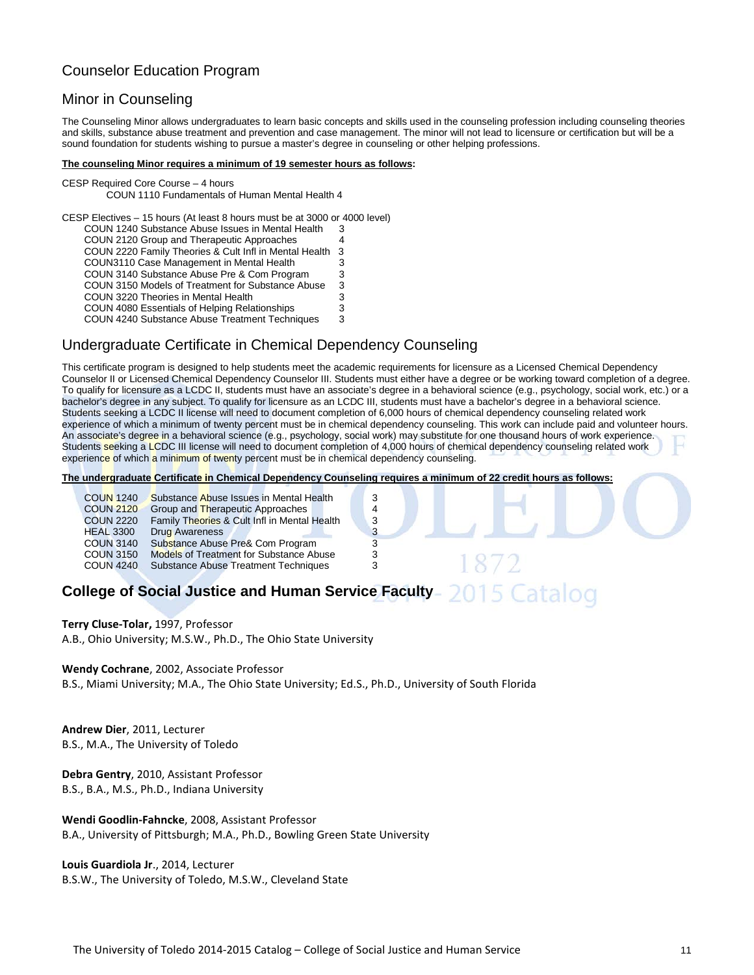# Counselor Education Program

### Minor in Counseling

The Counseling Minor allows undergraduates to learn basic concepts and skills used in the counseling profession including counseling theories and skills, substance abuse treatment and prevention and case management. The minor will not lead to licensure or certification but will be a sound foundation for students wishing to pursue a master's degree in counseling or other helping professions.

#### **The counseling Minor requires a minimum of 19 semester hours as follows:**

CESP Required Core Course – 4 hours COUN 1110 Fundamentals of Human Mental Health 4

CESP Electives – 15 hours (At least 8 hours must be at 3000 or 4000 level) COUN 1240 Substance Abuse Issues in Mental Health 3 COUN 2120 Group and Therapeutic Approaches 4 COUN 2220 Family Theories & Cult Infl in Mental Health 3 COUN3110 Case Management in Mental Health 3 COUN 3140 Substance Abuse Pre & Com Program 3 COUN 3150 Models of Treatment for Substance Abuse 3 COUN 3220 Theories in Mental Health COUN 4080 Essentials of Helping Relationships 3<br>COUN 4240 Substance Abuse Treatment Techniques 3 COUN 4240 Substance Abuse Treatment Techniques

# Undergraduate Certificate in Chemical Dependency Counseling

This certificate program is designed to help students meet the academic requirements for licensure as a Licensed Chemical Dependency Counselor II or Licensed Chemical Dependency Counselor III. Students must either have a degree or be working toward completion of a degree. To qualify for licensure as a LCDC II, students must have an associate's degree in a behavioral science (e.g., psychology, social work, etc.) or a bachelor's degree in any subject. To qualify for licensure as an LCDC III, students must have a bachelor's degree in a behavioral science. Students seeking a LCDC II license will need to document completion of 6,000 hours of chemical dependency counseling related work experience of which a minimum of twenty percent must be in chemical dependency counseling. This work can include paid and volunteer hours. An associate's degree in a behavioral science (e.g., psychology, social work) may substitute for one thousand hours of work experience. Students seeking a LCDC III license will need to document completion of 4,000 hours of chemical dependency counseling related work experience of which a minimum of twenty percent must be in chemical dependency counseling.

**The undergraduate Certificate in Chemical Dependency Counseling requires a minimum of 22 credit hours as follows:**

| <b>COUN 1240</b> | Substance Abuse Issues in Mental Health        | 3 |
|------------------|------------------------------------------------|---|
| <b>COUN 2120</b> | Group and Therapeutic Approaches               | 4 |
| <b>COUN 2220</b> | Family Theories & Cult Infl in Mental Health   | 3 |
| <b>HEAL 3300</b> | <b>Drug Awareness</b>                          | 3 |
| <b>COUN 3140</b> | Substance Abuse Pre& Com Program               | 3 |
| <b>COUN 3150</b> | <b>Models of Treatment for Substance Abuse</b> | 3 |
| <b>COUN 4240</b> | <b>Substance Abuse Treatment Techniques</b>    | 3 |
|                  |                                                |   |

#### 015 Catalog **College of Social Justice and Human Service Faculty**

**Terry Cluse-Tolar,** 1997, Professor A.B., Ohio University; M.S.W., Ph.D., The Ohio State University

#### **Wendy Cochrane**, 2002, Associate Professor

B.S., Miami University; M.A., The Ohio State University; Ed.S., Ph.D., University of South Florida

**Andrew Dier**, 2011, Lecturer B.S., M.A., The University of Toledo

**Debra Gentry**, 2010, Assistant Professor B.S., B.A., M.S., Ph.D., Indiana University

**Wendi Goodlin-Fahncke**, 2008, Assistant Professor B.A., University of Pittsburgh; M.A., Ph.D., Bowling Green State University

**Louis Guardiola Jr**., 2014, Lecturer B.S.W., The University of Toledo, M.S.W., Cleveland State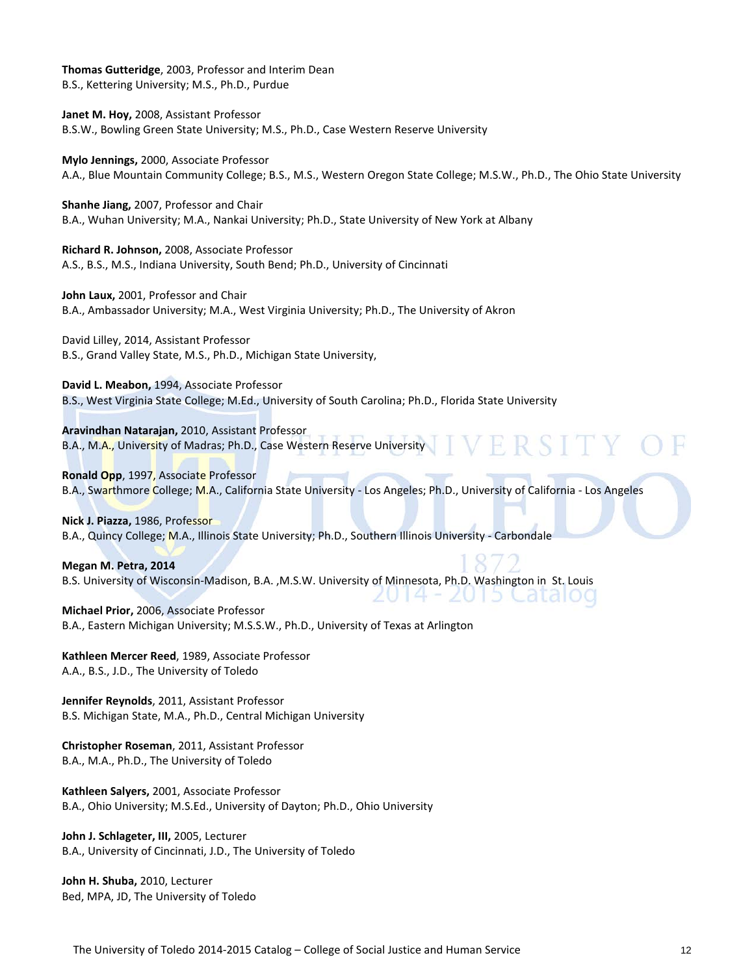**Thomas Gutteridge**, 2003, Professor and Interim Dean B.S., Kettering University; M.S., Ph.D., Purdue

**Janet M. Hoy,** 2008, Assistant Professor B.S.W., Bowling Green State University; M.S., Ph.D., Case Western Reserve University

**Mylo Jennings,** 2000, Associate Professor A.A., Blue Mountain Community College; B.S., M.S., Western Oregon State College; M.S.W., Ph.D., The Ohio State University

**Shanhe Jiang,** 2007, Professor and Chair B.A., Wuhan University; M.A., Nankai University; Ph.D., State University of New York at Albany

**Richard R. Johnson,** 2008, Associate Professor A.S., B.S., M.S., Indiana University, South Bend; Ph.D., University of Cincinnati

**John Laux,** 2001, Professor and Chair B.A., Ambassador University; M.A., West Virginia University; Ph.D., The University of Akron

David Lilley, 2014, Assistant Professor B.S., Grand Valley State, M.S., Ph.D., Michigan State University,

**David L. Meabon,** 1994, Associate Professor B.S., West Virginia State College; M.Ed., University of South Carolina; Ph.D., Florida State University

**Aravindhan Natarajan,** 2010, Assistant Professor B.A., M.A., University of Madras; Ph.D., Case Western Reserve University

**Ronald Opp**, 1997, Associate Professor B.A., Swarthmore College; M.A., California State University - Los Angeles; Ph.D., University of California - Los Angeles

 $U$  14

- 2015 Catalog

**Nick J. Piazza,** 1986, Professor B.A., Quincy College; M.A., Illinois State University; Ph.D., Southern Illinois University - Carbondale

**Megan M. Petra, 2014** B.S. University of Wisconsin-Madison, B.A. ,M.S.W. University of Minnesota, Ph.D. Washington in St. Louis

**Michael Prior,** 2006, Associate Professor B.A., Eastern Michigan University; M.S.S.W., Ph.D., University of Texas at Arlington

**Kathleen Mercer Reed**, 1989, Associate Professor A.A., B.S., J.D., The University of Toledo

**Jennifer Reynolds**, 2011, Assistant Professor B.S. Michigan State, M.A., Ph.D., Central Michigan University

**Christopher Roseman**, 2011, Assistant Professor B.A., M.A., Ph.D., The University of Toledo

**Kathleen Salyers,** 2001, Associate Professor B.A., Ohio University; M.S.Ed., University of Dayton; Ph.D., Ohio University

**John J. Schlageter, III,** 2005, Lecturer B.A., University of Cincinnati, J.D., The University of Toledo

**John H. Shuba,** 2010, Lecturer Bed, MPA, JD, The University of Toledo